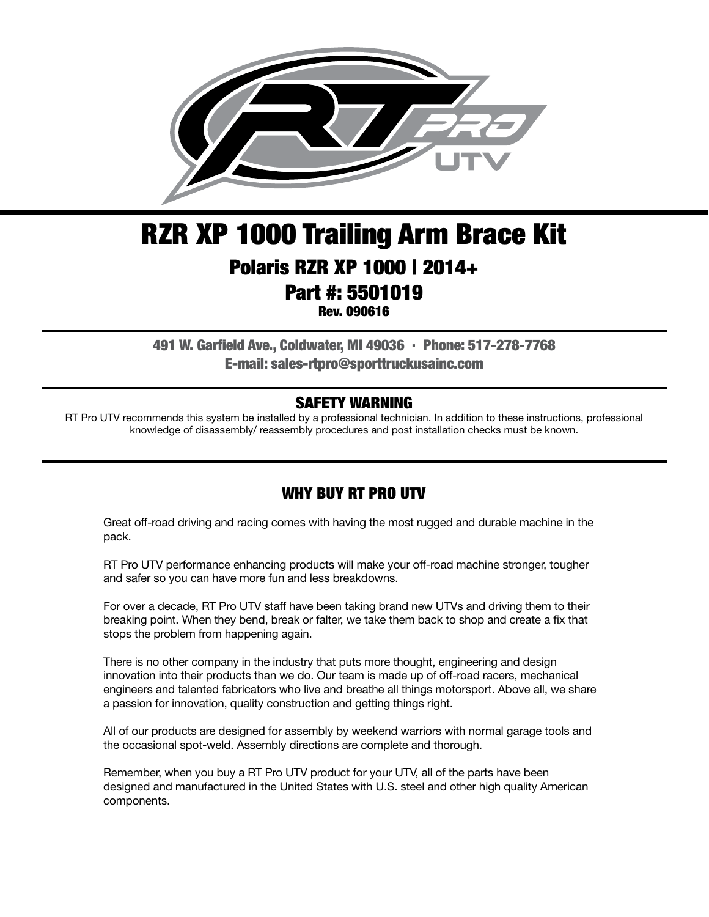

## RZR XP 1000 Trailing Arm Brace Kit Polaris RZR XP 1000 | 2014+ Part #: 5501019 Rev. 090616

491 W. Garfield Ave., Coldwater, MI 49036 . Phone: 517-278-7768 E-mail: sales-rtpro@sporttruckusainc.com

#### SAFETY WARNING

RT Pro UTV recommends this system be installed by a professional technician. In addition to these instructions, professional knowledge of disassembly/ reassembly procedures and post installation checks must be known.

#### WHY BUY RT PRO UTV

Great off-road driving and racing comes with having the most rugged and durable machine in the pack.

RT Pro UTV performance enhancing products will make your off-road machine stronger, tougher and safer so you can have more fun and less breakdowns.

For over a decade, RT Pro UTV staff have been taking brand new UTVs and driving them to their breaking point. When they bend, break or falter, we take them back to shop and create a fix that stops the problem from happening again.

There is no other company in the industry that puts more thought, engineering and design innovation into their products than we do. Our team is made up of off-road racers, mechanical engineers and talented fabricators who live and breathe all things motorsport. Above all, we share a passion for innovation, quality construction and getting things right.

All of our products are designed for assembly by weekend warriors with normal garage tools and the occasional spot-weld. Assembly directions are complete and thorough.

Remember, when you buy a RT Pro UTV product for your UTV, all of the parts have been designed and manufactured in the United States with U.S. steel and other high quality American components.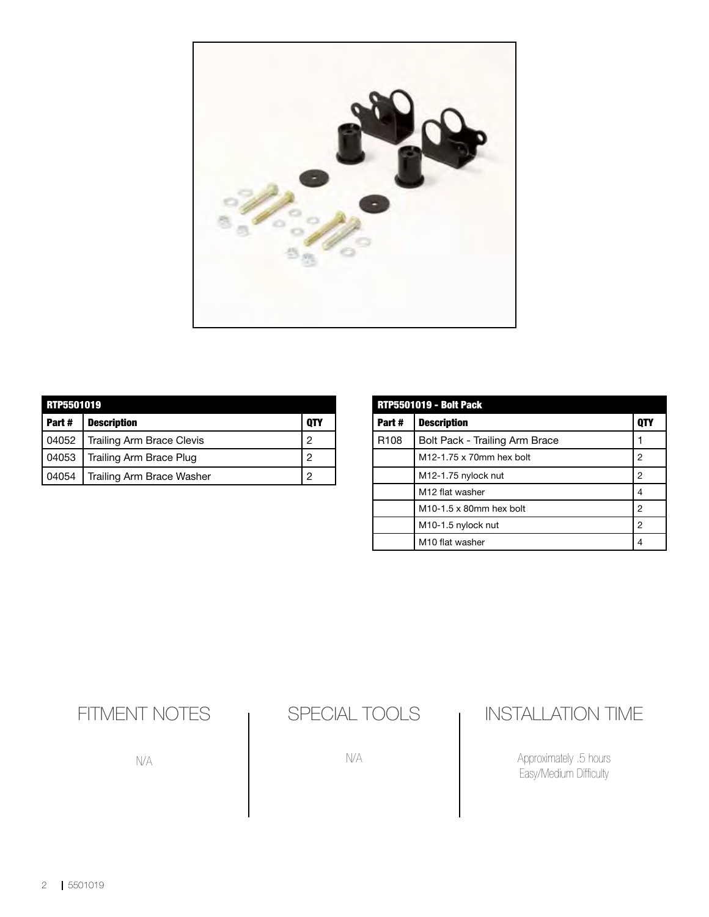

| RTP5501019 |                                  |     |  |
|------------|----------------------------------|-----|--|
| Part#      | <b>Description</b>               | QTY |  |
| 04052      | <b>Trailing Arm Brace Clevis</b> | 2   |  |
| 04053      | Trailing Arm Brace Plug          | 2   |  |
| 04054      | Trailing Arm Brace Washer        |     |  |

| <b>RTP5501019 - Bolt Pack</b> |                                 |            |  |
|-------------------------------|---------------------------------|------------|--|
| Part#                         | <b>Description</b>              | <b>QTY</b> |  |
| R <sub>108</sub>              | Bolt Pack - Trailing Arm Brace  |            |  |
|                               | M12-1.75 x 70mm hex bolt        | 2          |  |
|                               | M12-1.75 nylock nut             | 2          |  |
|                               | M12 flat washer                 | 4          |  |
|                               | $M10-1.5 \times 80$ mm hex bolt | 2          |  |
|                               | M <sub>10</sub> -1.5 nylock nut | 2          |  |
|                               | M10 flat washer                 | 4          |  |

## FITMENT NOTES

N/A

### SPECIAL TOOLS

N/A

#### INSTALLATION TIME

Approximately .5 hours Easy/Medium Difficulty